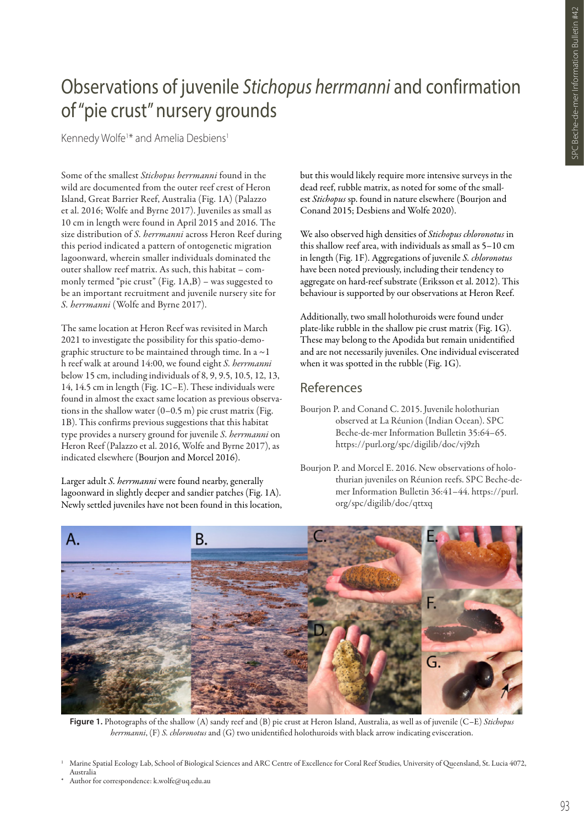## Observations of juvenile *Stichopus herrmanni* and confirmation of "pie crust" nursery grounds

Kennedy Wolfe<sup>1\*</sup> and Amelia Desbiens<sup>1</sup>

Some of the smallest *Stichopus herrmanni* found in the wild are documented from the outer reef crest of Heron Island, Great Barrier Reef, Australia (Fig. 1A) (Palazzo et al. 2016; Wolfe and Byrne 2017). Juveniles as small as 10 cm in length were found in April 2015 and 2016. The size distribution of *S. herrmanni* across Heron Reef during this period indicated a pattern of ontogenetic migration lagoonward, wherein smaller individuals dominated the outer shallow reef matrix. As such, this habitat – commonly termed "pie crust" (Fig. 1A,B) – was suggested to be an important recruitment and juvenile nursery site for *S. herrmanni* (Wolfe and Byrne 2017).

The same location at Heron Reef was revisited in March 2021 to investigate the possibility for this spatio-demographic structure to be maintained through time. In a  $\sim$  1 h reef walk at around 14:00, we found eight *S. herrmanni*  below 15 cm, including individuals of 8, 9, 9.5, 10.5, 12, 13, 14, 14.5 cm in length (Fig. 1C–E). These individuals were found in almost the exact same location as previous observations in the shallow water (0–0.5 m) pie crust matrix (Fig. 1B). This confirms previous suggestions that this habitat type provides a nursery ground for juvenile *S. herrmanni* on Heron Reef (Palazzo et al. 2016, Wolfe and Byrne 2017), as indicated elsewhere (Bourjon and Morcel 2016).

Larger adult *S. herrmanni* were found nearby, generally lagoonward in slightly deeper and sandier patches (Fig. 1A). Newly settled juveniles have not been found in this location, but this would likely require more intensive surveys in the dead reef, rubble matrix, as noted for some of the smallest *Stichopus* sp. found in nature elsewhere (Bourjon and Conand 2015; Desbiens and Wolfe 2020).

We also observed high densities of *Stichopus chloronotus* in this shallow reef area, with individuals as small as 5–10 cm in length (Fig. 1F). Aggregations of juvenile *S. chloronotus*  have been noted previously, including their tendency to aggregate on hard-reef substrate (Eriksson et al. 2012). This behaviour is supported by our observations at Heron Reef.

Additionally, two small holothuroids were found under plate-like rubble in the shallow pie crust matrix (Fig. 1G). These may belong to the Apodida but remain unidentified and are not necessarily juveniles. One individual eviscerated when it was spotted in the rubble (Fig. 1G).

## References

Bourjon P. and Morcel E. 2016. New observations of holothurian juveniles on Réunion reefs. SPC Beche-demer Information Bulletin 36:41–44. https://purl. org/spc/digilib/doc/qttxq



**Figure 1.** Photographs of the shallow (A) sandy reef and (B) pie crust at Heron Island, Australia, as well as of juvenile (C–E) *Stichopus herrmanni*, (F) *S. chloronotus* and (G) two unidentified holothuroids with black arrow indicating evisceration.

Bourjon P. and Conand C. 2015. Juvenile holothurian observed at La Réunion (Indian Ocean). SPC Beche-de-mer Information Bulletin 35:64–65. https://purl.org/spc/digilib/doc/vj9zh

<sup>1</sup> Marine Spatial Ecology Lab, School of Biological Sciences and ARC Centre of Excellence for Coral Reef Studies, University of Queensland, St. Lucia 4072, Australia

Author for correspondence: k.wolfe@uq.edu.au